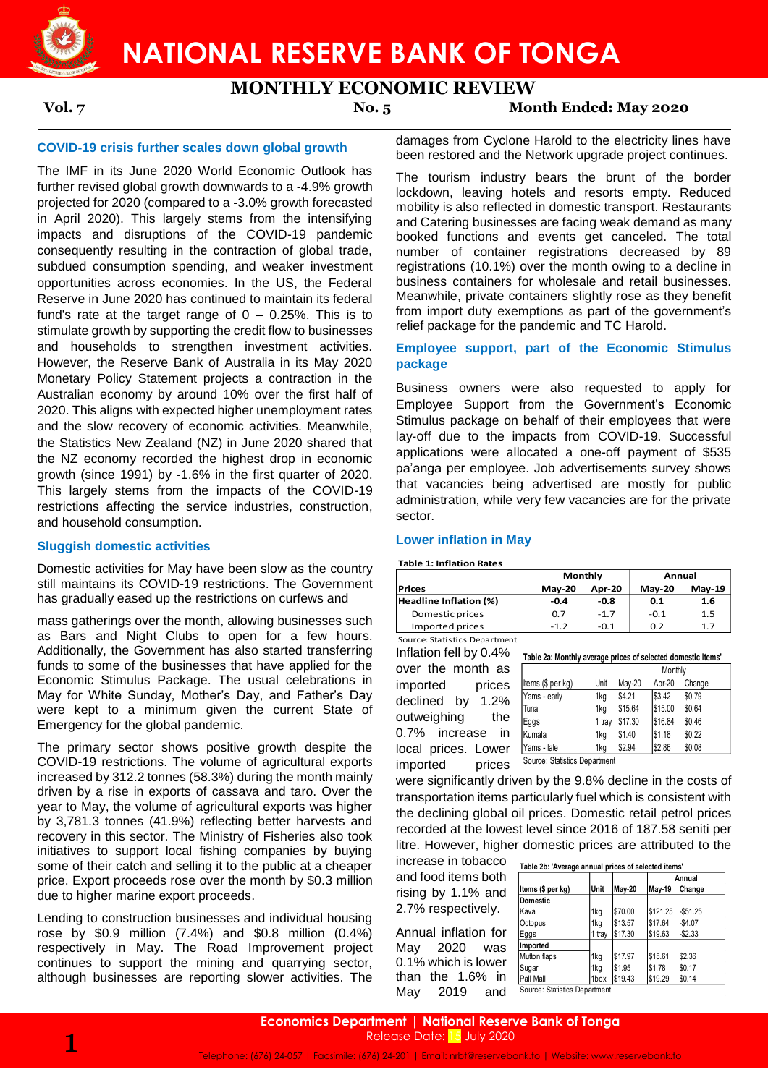

# **MONTHLY ECONOMIC REVIEW**

**Vol. 7 No. 5 Month Ended: May 2020**

# **COVID-19 crisis further scales down global growth**

The IMF in its June 2020 World Economic Outlook has further revised global growth downwards to a -4.9% growth projected for 2020 (compared to a -3.0% growth forecasted in April 2020). This largely stems from the intensifying impacts and disruptions of the COVID-19 pandemic consequently resulting in the contraction of global trade, subdued consumption spending, and weaker investment opportunities across economies. In the US, the Federal Reserve in June 2020 has continued to maintain its federal fund's rate at the target range of  $0 - 0.25$ %. This is to stimulate growth by supporting the credit flow to businesses and households to strengthen investment activities. However, the Reserve Bank of Australia in its May 2020 Monetary Policy Statement projects a contraction in the Australian economy by around 10% over the first half of 2020. This aligns with expected higher unemployment rates and the slow recovery of economic activities. Meanwhile, the Statistics New Zealand (NZ) in June 2020 shared that the NZ economy recorded the highest drop in economic growth (since 1991) by -1.6% in the first quarter of 2020. This largely stems from the impacts of the COVID-19 restrictions affecting the service industries, construction, and household consumption.

## **Sluggish domestic activities**

Domestic activities for May have been slow as the country still maintains its COVID-19 restrictions. The Government has gradually eased up the restrictions on curfews and

mass gatherings over the month, allowing businesses such as Bars and Night Clubs to open for a few hours. Additionally, the Government has also started transferring funds to some of the businesses that have applied for the Economic Stimulus Package. The usual celebrations in May for White Sunday, Mother's Day, and Father's Day were kept to a minimum given the current State of Emergency for the global pandemic.

The primary sector shows positive growth despite the COVID-19 restrictions. The volume of agricultural exports increased by 312.2 tonnes (58.3%) during the month mainly driven by a rise in exports of cassava and taro. Over the year to May, the volume of agricultural exports was higher by 3,781.3 tonnes (41.9%) reflecting better harvests and recovery in this sector. The Ministry of Fisheries also took initiatives to support local fishing companies by buying some of their catch and selling it to the public at a cheaper price. Export proceeds rose over the month by \$0.3 million due to higher marine export proceeds.

Lending to construction businesses and individual housing rose by \$0.9 million (7.4%) and \$0.8 million (0.4%) respectively in May. The Road Improvement project continues to support the mining and quarrying sector, although businesses are reporting slower activities. The

damages from Cyclone Harold to the electricity lines have been restored and the Network upgrade project continues.

The tourism industry bears the brunt of the border lockdown, leaving hotels and resorts empty. Reduced mobility is also reflected in domestic transport. Restaurants and Catering businesses are facing weak demand as many booked functions and events get canceled. The total number of container registrations decreased by 89 registrations (10.1%) over the month owing to a decline in business containers for wholesale and retail businesses. Meanwhile, private containers slightly rose as they benefit from import duty exemptions as part of the government's relief package for the pandemic and TC Harold.

# **Employee support, part of the Economic Stimulus package**

Business owners were also requested to apply for Employee Support from the Government's Economic Stimulus package on behalf of their employees that were lay-off due to the impacts from COVID-19. Successful applications were allocated a one-off payment of \$535 pa'anga per employee. Job advertisements survey shows that vacancies being advertised are mostly for public administration, while very few vacancies are for the private sector.

### **Lower inflation in May**

**Table 1: Inflation Rates**

|                        | Monthly       |               | Annual        |               |  |  |
|------------------------|---------------|---------------|---------------|---------------|--|--|
| <b>Prices</b>          | <b>Mav-20</b> | <b>Apr-20</b> | <b>Mav-20</b> | <b>Mav-19</b> |  |  |
| Headline Inflation (%) | -0.4          | -0.8          | 0.1           | 1.6           |  |  |
| Domestic prices        | 0.7           | $-1.7$        | -0.1          | 1.5           |  |  |
| Imported prices        | $-1, 2$       | $-0.1$        | 0.2           | 1.7           |  |  |

Source: Statistics Department

Inflation fell by 0.4% **Table 2a: Monthly average prices of selected domestic items'** over the month as imported prices declined by 1.2% outweighing the 0.7% increase in local prices. Lower imported prices

| tems (\$ ner ka) |             |        | Monthly |      |  |  |
|------------------|-------------|--------|---------|------|--|--|
|                  | <b>Unit</b> | May-20 | Apr-20  | Chan |  |  |

| Items (\$ per kg) | <b>Unit</b> | Mav-20  | Apr-20  | Change |
|-------------------|-------------|---------|---------|--------|
| Yams - early      | 1kg         | \$4.21  | \$3.42  | \$0.79 |
| Tuna              | 1kg         | \$15.64 | \$15.00 | \$0.64 |
| Eggs              | 1 tray      | \$17.30 | \$16.84 | \$0.46 |
| Kumala            | 1kg         | \$1.40  | \$1.18  | \$0.22 |
| Yams - late       | 1kg         | \$2.94  | \$2.86  | \$0.08 |

Source: Statistics Department

were significantly driven by the 9.8% decline in the costs of transportation items particularly fuel which is consistent with the declining global oil prices. Domestic retail petrol prices recorded at the lowest level since 2016 of 187.58 seniti per litre. However, higher domestic prices are attributed to the

increase in tobacco and food items both rising by 1.1% and 2.7% respectively.

| inoroado in tobacco  | Table 2b: 'Average annual prices of selected items' |             |               |               |           |  |  |
|----------------------|-----------------------------------------------------|-------------|---------------|---------------|-----------|--|--|
| and food items both  |                                                     |             |               |               | Annual    |  |  |
| rising by 1.1% and   | Items (\$ per kg)                                   | <b>Unit</b> | <b>May-20</b> | <b>May-19</b> | Change    |  |  |
|                      | <b>Domestic</b>                                     |             |               |               |           |  |  |
| 2.7% respectively.   | Kava                                                | 1kg         | \$70.00       | \$121.25      | $-$51.25$ |  |  |
|                      | Octopus                                             | 1kg         | \$13.57       | \$17.64       | $-$4.07$  |  |  |
| Annual inflation for | Eggs                                                | 1 tray      | \$17.30       | \$19.63       | $-$2.33$  |  |  |
| Mav<br>2020<br>was   | Imported                                            |             |               |               |           |  |  |
| 0.1% which is lower  | Mutton flaps                                        | 1kg         | \$17.97       | \$15.61       | \$2.36    |  |  |
|                      | Sugar                                               | 1kg         | \$1.95        | \$1.78        | \$0.17    |  |  |
| than the 1.6% in     | Pall Mall                                           | 1box        | \$19.43       | \$19.29       | \$0.14    |  |  |
| May<br>2019<br>and   | Source: Statistics Department                       |             |               |               |           |  |  |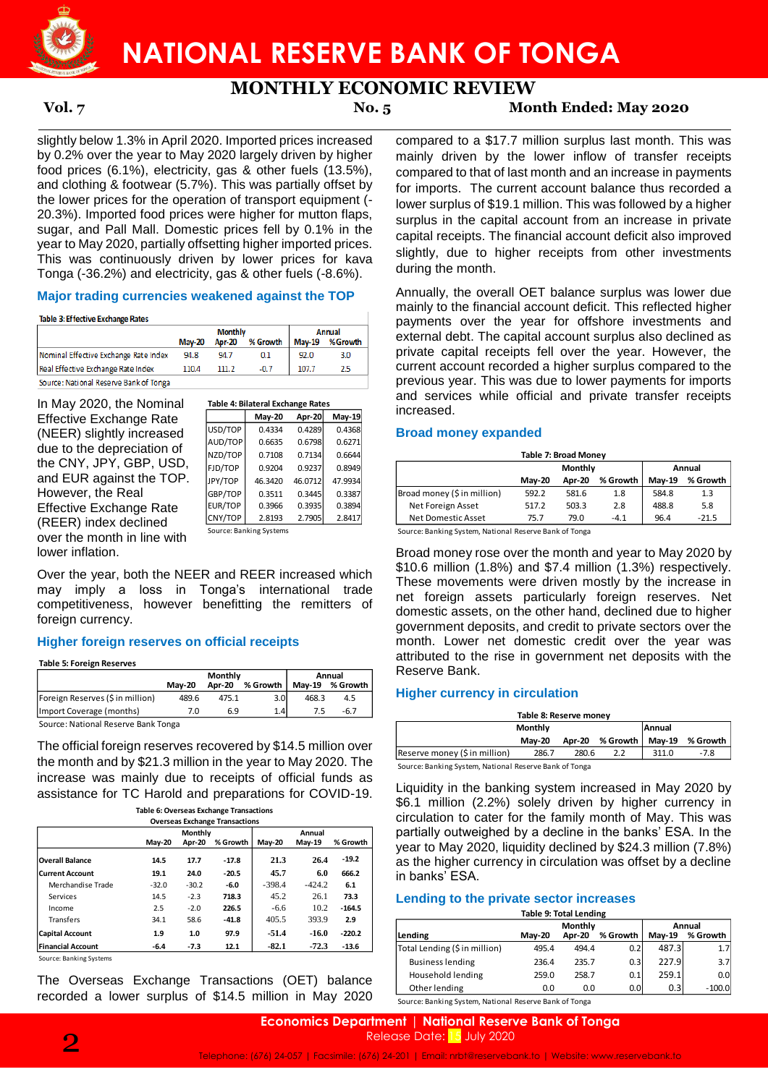

**MONTHLY ECONOMIC REVIEW**

**Vol. 7 No. 5 Month Ended: May 2020**

slightly below 1.3% in April 2020. Imported prices increased by 0.2% over the year to May 2020 largely driven by higher food prices (6.1%), electricity, gas & other fuels (13.5%), and clothing & footwear (5.7%). This was partially offset by the lower prices for the operation of transport equipment (-20.3%). Imported food prices were higher for mutton flaps, sugar, and Pall Mall. Domestic prices fell by 0.1% in the year to May 2020, partially offsetting higher imported prices. This was continuously driven by lower prices for kava Tonga (-36.2%) and electricity, gas & other fuels (-8.6%).

# **Major trading currencies weakened against the TOP**

Table 3: Effective Exchange Rates

|                                        |               | <b>Monthly</b> | Annual   |               |          |
|----------------------------------------|---------------|----------------|----------|---------------|----------|
|                                        | <b>May-20</b> | <b>Apr-20</b>  | % Growth | <b>May-19</b> | % Growth |
| Nominal Effective Exchange Rate Index  | 94.8          | 94.7           | 0.1      | 92.0          | 3.0      |
| Real Effective Exchange Rate Index     | 110.4         | 111.2          | $-0.7$   | 107.7         | 2.5      |
| Source: National Reserve Bank of Tonga |               |                |          |               |          |

| inal | Table 4: Bilateral Exchange Rates |
|------|-----------------------------------|
|      |                                   |

|                                                                                                                    |                                                                                         | <b>May-19</b> |
|--------------------------------------------------------------------------------------------------------------------|-----------------------------------------------------------------------------------------|---------------|
|                                                                                                                    |                                                                                         | 0.4368        |
|                                                                                                                    |                                                                                         | 0.6271        |
|                                                                                                                    |                                                                                         | 0.6644        |
|                                                                                                                    |                                                                                         | 0.8949        |
|                                                                                                                    |                                                                                         | 47.9934       |
|                                                                                                                    |                                                                                         | 0.3387        |
|                                                                                                                    |                                                                                         | 0.3894        |
|                                                                                                                    |                                                                                         | 2.8417        |
|                                                                                                                    |                                                                                         |               |
| May-20<br>0.4334<br>0.6635<br>0.7108<br>0.9204<br>46.3420<br>0.3511<br>0.3966<br>2.8193<br>Source: Banking Systems | Apr-20<br>0.4289<br>0.6798<br>0.7134<br>0.9237<br>46.0712<br>0.3445<br>0.3935<br>2.7905 |               |

Over the year, both the NEER and REER increased which may imply a loss in Tonga's international trade competitiveness, however benefitting the remitters of foreign currency.

# **Higher foreign reserves on official receipts**

**Table 5: Foreign Reserves**

|                                     |               | <b>Monthly</b> | Annual   |       |                 |  |  |  |  |
|-------------------------------------|---------------|----------------|----------|-------|-----------------|--|--|--|--|
|                                     | <b>Mav-20</b> | Apr-20         | % Growth |       | Mav-19 % Growth |  |  |  |  |
| Foreign Reserves (\$ in million)    | 489.6         | 475.1          | 3.0      | 468.3 | 4.5             |  |  |  |  |
| Import Coverage (months)            | 7.0           | 6.9            | 1.4      |       | $-6.7$          |  |  |  |  |
| Cource: National Recense Rank Tonga |               |                |          |       |                 |  |  |  |  |

Source: National Reserve Bank Tonga

The official foreign reserves recovered by \$14.5 million over the month and by \$21.3 million in the year to May 2020. The increase was mainly due to receipts of official funds as assistance for TC Harold and preparations for COVID-19.

|  |  |  |  | ole 6: Overseas Exchange Transactior |  |  |  |
|--|--|--|--|--------------------------------------|--|--|--|
|  |  |  |  |                                      |  |  |  |

|                          |         | Monthly |          |          | Annual        |          |
|--------------------------|---------|---------|----------|----------|---------------|----------|
|                          | May-20  | Apr-20  | % Growth | May-20   | <b>May-19</b> | % Growth |
| <b>Overall Balance</b>   | 14.5    | 17.7    | $-17.8$  | 21.3     | 26.4          | $-19.2$  |
| <b>Current Account</b>   | 19.1    | 24.0    | $-20.5$  | 45.7     | 6.0           | 666.2    |
| Merchandise Trade        | $-32.0$ | $-30.2$ | $-6.0$   | $-398.4$ | $-424.2$      | 6.1      |
| Services                 | 14.5    | $-2.3$  | 718.3    | 45.2     | 26.1          | 73.3     |
| Income                   | 2.5     | $-2.0$  | 226.5    | $-6.6$   | 10.2          | $-164.5$ |
| <b>Transfers</b>         | 34.1    | 58.6    | $-41.8$  | 405.5    | 393.9         | 2.9      |
| <b>Capital Account</b>   | 1.9     | 1.0     | 97.9     | $-51.4$  | $-16.0$       | $-220.2$ |
| <b>Financial Account</b> | $-6.4$  | $-7.3$  | 12.1     | $-82.1$  | $-72.3$       | $-13.6$  |

Source: Banking Systems

The Overseas Exchange Transactions (OET) balance recorded a lower surplus of \$14.5 million in May 2020 compared to a \$17.7 million surplus last month. This was mainly driven by the lower inflow of transfer receipts compared to that of last month and an increase in payments for imports. The current account balance thus recorded a lower surplus of \$19.1 million. This was followed by a higher surplus in the capital account from an increase in private capital receipts. The financial account deficit also improved slightly, due to higher receipts from other investments during the month.

Annually, the overall OET balance surplus was lower due mainly to the financial account deficit. This reflected higher payments over the year for offshore investments and external debt. The capital account surplus also declined as private capital receipts fell over the year. However, the current account recorded a higher surplus compared to the previous year. This was due to lower payments for imports and services while official and private transfer receipts increased.

# **Broad money expanded**

| Table 7: Broad Money        |               |         |          |               |          |  |  |  |  |  |
|-----------------------------|---------------|---------|----------|---------------|----------|--|--|--|--|--|
|                             |               | Monthly | Annual   |               |          |  |  |  |  |  |
|                             | <b>Mav-20</b> | Apr-20  | % Growth | <b>Mav-19</b> | % Growth |  |  |  |  |  |
| Broad money (\$ in million) | 592.2         | 581.6   | 1.8      | 584.8         | 1.3      |  |  |  |  |  |
| Net Foreign Asset           | 517.2         | 503.3   | 2.8      | 488.8         | 5.8      |  |  |  |  |  |
| Net Domestic Asset          | 75.7          | 79.0    | $-4.1$   | 96.4          | $-21.5$  |  |  |  |  |  |

Source: Banking System, National Reserve Bank of Tonga

Broad money rose over the month and year to May 2020 by \$10.6 million (1.8%) and \$7.4 million (1.3%) respectively. These movements were driven mostly by the increase in net foreign assets particularly foreign reserves. Net domestic assets, on the other hand, declined due to higher government deposits, and credit to private sectors over the month. Lower net domestic credit over the year was attributed to the rise in government net deposits with the Reserve Bank. **Table 7: Dramsactions** (National Capital 26: The Monton (1.8%) and STAL million<br>
IB Fury Top 0.304 0.9237 0.8949<br>
The TOP. IP (1.9%) and 57.2 9843<br>
EUR/TOP 0.3946 0.9335 0.3384<br>
EUR/TOP 2.399 0.3384<br>
EUR/TOP 2.393 2.7905

# **Higher currency in circulation**

| Table 8: Reserve money                                 |               |        |                   |       |          |  |
|--------------------------------------------------------|---------------|--------|-------------------|-------|----------|--|
|                                                        | Monthly       |        | Annual            |       |          |  |
|                                                        | <b>Mav-20</b> | Apr-20 | % Growth   May-19 |       | % Growth |  |
| Reserve money (\$ in million)                          | 286.7         | 280.6  | 2.2               | 311.0 | $-7.8$   |  |
| Source: Banking System, National Reserve Bank of Tonga |               |        |                   |       |          |  |

Liquidity in the banking system increased in May 2020 by

\$6.1 million (2.2%) solely driven by higher currency in circulation to cater for the family month of May. This was partially outweighed by a decline in the banks' ESA. In the year to May 2020, liquidity declined by \$24.3 million (7.8%) as the higher currency in circulation was offset by a decline in banks' ESA.

# **Lending to the private sector increases**

| <b>Table 9: Total Lending</b> |  |
|-------------------------------|--|
|                               |  |

|                               | Monthly       |        |                  | Annual        |                  |
|-------------------------------|---------------|--------|------------------|---------------|------------------|
| Lending                       | <b>Mav-20</b> | Apr-20 | % Growth         | <b>Mav-19</b> | % Growth         |
| Total Lending (\$ in million) | 495.4         | 494.4  | 0.2              | 487.3         | 1.7 <sub>l</sub> |
| <b>Business lending</b>       | 236.4         | 235.7  | 0.3              | 227.9         | 3.7              |
| Household lending             | 259.0         | 258.7  | 0.1              | 259.1         | 0.0 <sub>l</sub> |
| Other lending                 | 0.0           | 0.0    | 0.0 <sub>l</sub> | 0.3           | $-100.0$         |
| .                             |               |        |                  |               |                  |

Source: Banking System, National Reserve Bank of Tonga